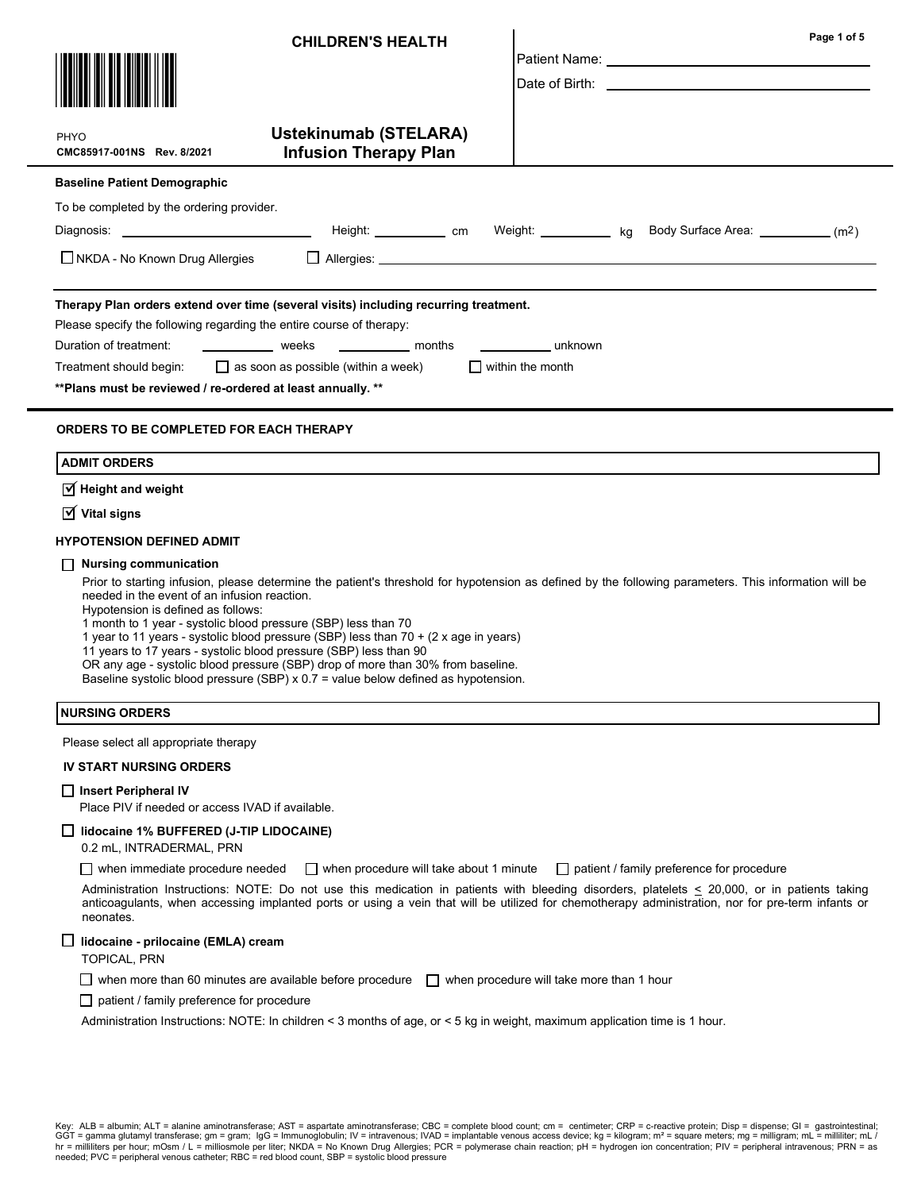| <b>CHILDREN'S HEALTH</b>                                                                                                                                                                                                                                                                                                                                                                                                                                                                                                                                                                                                                                                                      | Page 1 of 5                                                                                                                                                                                                                          |  |  |
|-----------------------------------------------------------------------------------------------------------------------------------------------------------------------------------------------------------------------------------------------------------------------------------------------------------------------------------------------------------------------------------------------------------------------------------------------------------------------------------------------------------------------------------------------------------------------------------------------------------------------------------------------------------------------------------------------|--------------------------------------------------------------------------------------------------------------------------------------------------------------------------------------------------------------------------------------|--|--|
|                                                                                                                                                                                                                                                                                                                                                                                                                                                                                                                                                                                                                                                                                               | Date of Birth: <u>contract the contract of the contract of the contract of the contract of the contract of the contract of the contract of the contract of the contract of the contract of the contract of the contract of the c</u> |  |  |
| <b>Ustekinumab (STELARA)</b><br>PHYO<br><b>Infusion Therapy Plan</b><br>CMC85917-001NS Rev. 8/2021                                                                                                                                                                                                                                                                                                                                                                                                                                                                                                                                                                                            |                                                                                                                                                                                                                                      |  |  |
| <b>Baseline Patient Demographic</b>                                                                                                                                                                                                                                                                                                                                                                                                                                                                                                                                                                                                                                                           |                                                                                                                                                                                                                                      |  |  |
| To be completed by the ordering provider.                                                                                                                                                                                                                                                                                                                                                                                                                                                                                                                                                                                                                                                     |                                                                                                                                                                                                                                      |  |  |
|                                                                                                                                                                                                                                                                                                                                                                                                                                                                                                                                                                                                                                                                                               |                                                                                                                                                                                                                                      |  |  |
| $\Box$ Allergies: $\Box$<br>$\Box$ NKDA - No Known Drug Allergies                                                                                                                                                                                                                                                                                                                                                                                                                                                                                                                                                                                                                             |                                                                                                                                                                                                                                      |  |  |
| Therapy Plan orders extend over time (several visits) including recurring treatment.<br>Please specify the following regarding the entire course of therapy:<br>Duration of treatment:<br>weeks months<br>unknown<br>$\Box$ as soon as possible (within a week)<br>$\Box$ within the month<br>Treatment should begin:<br>** Plans must be reviewed / re-ordered at least annually. **                                                                                                                                                                                                                                                                                                         |                                                                                                                                                                                                                                      |  |  |
| <b>ORDERS TO BE COMPLETED FOR EACH THERAPY</b>                                                                                                                                                                                                                                                                                                                                                                                                                                                                                                                                                                                                                                                |                                                                                                                                                                                                                                      |  |  |
| <b>ADMIT ORDERS</b>                                                                                                                                                                                                                                                                                                                                                                                                                                                                                                                                                                                                                                                                           |                                                                                                                                                                                                                                      |  |  |
| $\sqrt{ }$ Height and weight                                                                                                                                                                                                                                                                                                                                                                                                                                                                                                                                                                                                                                                                  |                                                                                                                                                                                                                                      |  |  |
| $\overline{\mathbf{y}}$ Vital signs                                                                                                                                                                                                                                                                                                                                                                                                                                                                                                                                                                                                                                                           |                                                                                                                                                                                                                                      |  |  |
| <b>HYPOTENSION DEFINED ADMIT</b>                                                                                                                                                                                                                                                                                                                                                                                                                                                                                                                                                                                                                                                              |                                                                                                                                                                                                                                      |  |  |
| <b>Nursing communication</b><br>$\Box$<br>Prior to starting infusion, please determine the patient's threshold for hypotension as defined by the following parameters. This information will be<br>needed in the event of an infusion reaction.<br>Hypotension is defined as follows:<br>1 month to 1 year - systolic blood pressure (SBP) less than 70<br>1 year to 11 years - systolic blood pressure (SBP) less than 70 + (2 x age in years)<br>11 years to 17 years - systolic blood pressure (SBP) less than 90<br>OR any age - systolic blood pressure (SBP) drop of more than 30% from baseline.<br>Baseline systolic blood pressure (SBP) x 0.7 = value below defined as hypotension. |                                                                                                                                                                                                                                      |  |  |
| <b>NURSING ORDERS</b>                                                                                                                                                                                                                                                                                                                                                                                                                                                                                                                                                                                                                                                                         |                                                                                                                                                                                                                                      |  |  |
| Please select all appropriate therapy                                                                                                                                                                                                                                                                                                                                                                                                                                                                                                                                                                                                                                                         |                                                                                                                                                                                                                                      |  |  |
| <b>IV START NURSING ORDERS</b>                                                                                                                                                                                                                                                                                                                                                                                                                                                                                                                                                                                                                                                                |                                                                                                                                                                                                                                      |  |  |
| $\Box$ Insert Peripheral IV<br>Place PIV if needed or access IVAD if available.                                                                                                                                                                                                                                                                                                                                                                                                                                                                                                                                                                                                               |                                                                                                                                                                                                                                      |  |  |
| $\Box$ lidocaine 1% BUFFERED (J-TIP LIDOCAINE)<br>0.2 mL, INTRADERMAL, PRN                                                                                                                                                                                                                                                                                                                                                                                                                                                                                                                                                                                                                    |                                                                                                                                                                                                                                      |  |  |
| $\Box$ when immediate procedure needed<br>  when procedure will take about 1 minute     patient / family preference for procedure                                                                                                                                                                                                                                                                                                                                                                                                                                                                                                                                                             |                                                                                                                                                                                                                                      |  |  |
| Administration Instructions: NOTE: Do not use this medication in patients with bleeding disorders, platelets < 20,000, or in patients taking<br>anticoagulants, when accessing implanted ports or using a vein that will be utilized for chemotherapy administration, nor for pre-term infants or<br>neonates.                                                                                                                                                                                                                                                                                                                                                                                |                                                                                                                                                                                                                                      |  |  |
| lidocaine - prilocaine (EMLA) cream<br><b>TOPICAL, PRN</b>                                                                                                                                                                                                                                                                                                                                                                                                                                                                                                                                                                                                                                    |                                                                                                                                                                                                                                      |  |  |
| $\Box$ when more than 60 minutes are available before procedure $\Box$ when procedure will take more than 1 hour                                                                                                                                                                                                                                                                                                                                                                                                                                                                                                                                                                              |                                                                                                                                                                                                                                      |  |  |
| patient / family preference for procedure                                                                                                                                                                                                                                                                                                                                                                                                                                                                                                                                                                                                                                                     |                                                                                                                                                                                                                                      |  |  |
| Administration Instructions: NOTE: In children < 3 months of age, or < 5 kg in weight, maximum application time is 1 hour.                                                                                                                                                                                                                                                                                                                                                                                                                                                                                                                                                                    |                                                                                                                                                                                                                                      |  |  |
|                                                                                                                                                                                                                                                                                                                                                                                                                                                                                                                                                                                                                                                                                               |                                                                                                                                                                                                                                      |  |  |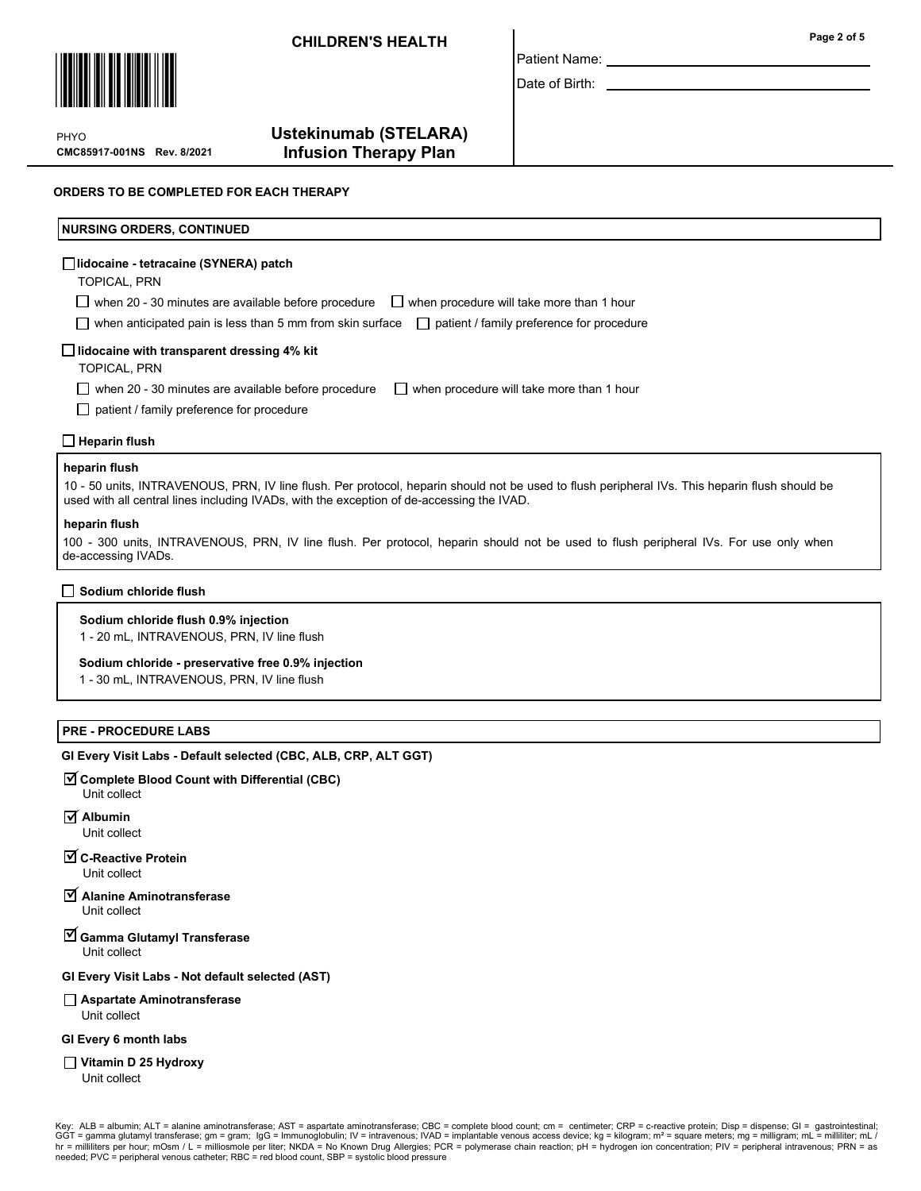## CHILDREN'S HEALTH



CMC85917-001NS Rev. 8/2021 PHYO

## Ustekinumab (STELARA) Infusion Therapy Plan

## ORDERS TO BE COMPLETED FOR EACH THERAPY

### NURSING ORDERS, CONTINUED

### lidocaine - tetracaine (SYNERA) patch

TOPICAL, PRN

 $\Box$  when 20 - 30 minutes are available before procedure  $\Box$  when procedure will take more than 1 hour

 $\Box$  when anticipated pain is less than 5 mm from skin surface  $\Box$  patient / family preference for procedure

### $\Box$  lidocaine with transparent dressing 4% kit

TOPICAL, PRN

 $\Box$  when 20 - 30 minutes are available before procedure  $\Box$  when procedure will take more than 1 hour

 $\Box$  patient / family preference for procedure

### $\Box$  Heparin flush

#### heparin flush

10 - 50 units, INTRAVENOUS, PRN, IV line flush. Per protocol, heparin should not be used to flush peripheral IVs. This heparin flush should be used with all central lines including IVADs, with the exception of de-accessing the IVAD.

#### heparin flush

100 - 300 units, INTRAVENOUS, PRN, IV line flush. Per protocol, heparin should not be used to flush peripheral IVs. For use only when de-accessing IVADs.

### $\Box$  Sodium chloride flush

### Sodium chloride flush 0.9% injection

1 - 20 mL, INTRAVENOUS, PRN, IV line flush

### Sodium chloride - preservative free 0.9% injection

1 - 30 mL, INTRAVENOUS, PRN, IV line flush

### PRE - PROCEDURE LABS

### GI Every Visit Labs - Default selected (CBC, ALB, CRP, ALT GGT)

 $\overline{\triangleleft}$  Complete Blood Count with Differential (CBC) Unit collect

#### $\overline{\mathbf{y}}$  Albumin Unit collect

- $\overline{\triangleleft}$  C-Reactive Protein Unit collect
- $\overline{\mathsf{y}}$  Alanine Aminotransferase Unit collect

### $\overline{\mathsf{y}}$  Gamma Glutamyl Transferase Unit collect

### GI Every Visit Labs - Not default selected (AST)

# Aspartate Aminotransferase

Unit collect

## GI Every 6 month labs

#### $\Box$  Vitamin D 25 Hydroxy Unit collect

Key: ALB = albumin; ALT = alanine aminotransferase; AST = aspartate aminotransferase; CBC = complete blood count; cm = centimeter; CRP = c-reactive protein; Disp = dispense; GI = gastrointestinal;<br>GGT = gamma glutamyl t hr = milliliters per hour; mOsm / L = milliosmole per liter; NKDA = No Known Drug Allergies; PCR = polymerase chain reaction; pH = hydrogen ion concentration; PIV = peripheral intravenous; PRN = as needed; PVC = peripheral venous catheter; RBC = red blood count, SBP = systolic blood pressure

Page 2 of 5

Date of Birth:

Patient Name: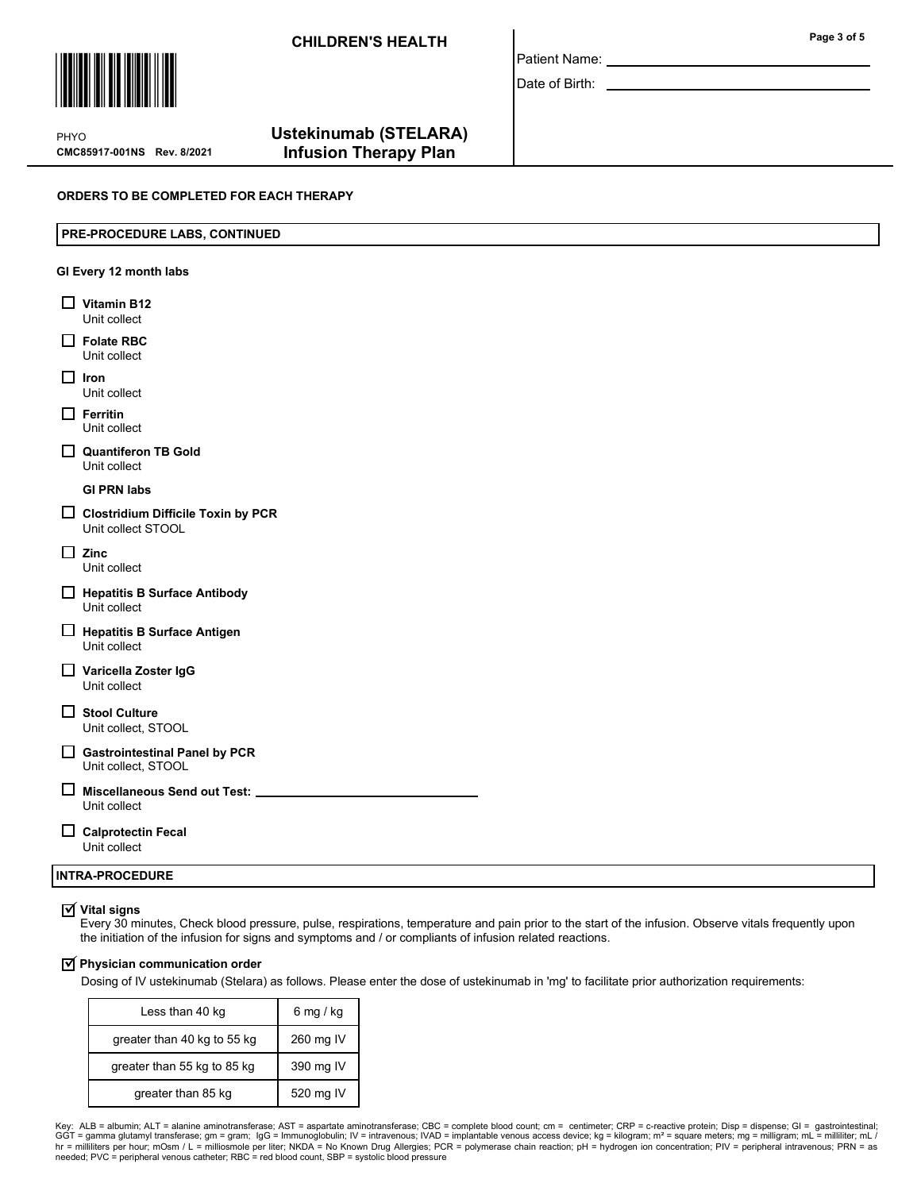

CMC85917-001NS Rev. 8/2021 PHYO

## Ustekinumab (STELARA) Infusion Therapy Plan

### ORDERS TO BE COMPLETED FOR EACH THERAPY

### PRE-PROCEDURE LABS, CONTINUED

## GI Every 12 month labs

|              | <b>Vitamin B12</b><br>Unit collect                              |
|--------------|-----------------------------------------------------------------|
|              | Folate RBC<br>Unit collect                                      |
| - 1          | Iron<br>Unit collect                                            |
|              | <b>Ferritin</b><br>Unit collect                                 |
|              | Quantiferon TB Gold<br>Unit collect                             |
|              | <b>GI PRN labs</b>                                              |
|              | $\Box$ Clostridium Difficile Toxin by PCR<br>Unit collect STOOL |
| - 1          | <b>Zinc</b><br>Unit collect                                     |
|              | <b>_│ Hepatitis B Surface Antibody</b><br>Unit collect          |
| ப            | <b>Hepatitis B Surface Antigen</b><br>Unit collect              |
|              | $\Box$ Varicella Zoster IgG<br>Unit collect                     |
|              | $\Box$ Stool Culture<br>Unit collect, STOOL                     |
|              | $\Box$ Gastrointestinal Panel by PCR<br>Unit collect, STOOL     |
| $\mathsf{L}$ | Unit collect                                                    |
| ப            | <b>Calprotectin Fecal</b><br>Unit collect                       |

## INTRA-PROCEDURE

## $\overline{\textsf{y}}$  Vital signs

Every 30 minutes, Check blood pressure, pulse, respirations, temperature and pain prior to the start of the infusion. Observe vitals frequently upon the initiation of the infusion for signs and symptoms and / or compliants of infusion related reactions.

## $\overline{\textsf{y}}$  Physician communication order

Dosing of IV ustekinumab (Stelara) as follows. Please enter the dose of ustekinumab in 'mg' to facilitate prior authorization requirements:

| Less than 40 kg             | 6 mg / $kg$ |
|-----------------------------|-------------|
| greater than 40 kg to 55 kg | 260 mg IV   |
| greater than 55 kg to 85 kg | 390 mg IV   |
| greater than 85 kg          | 520 mg IV   |

Page 3 of 5

Date of Birth:

Patient Name:

Key: ALB = albumin; ALT = alanine aminotransferase; AST = aspartate aminotransferase; CBC = complete blood count; cm = centimeter; CRP = c-reactive protein; Disp = dispense; GI = gastrointestinal;<br>GGT = gamma glutamyl t hr = milliliters per hour; mOsm / L = milliosmole per liter; NKDA = No Known Drug Allergies; PCR = polymerase chain reaction; pH = hydrogen ion concentration; PIV = peripheral intravenous; PRN = as<br>needed; PVC = peripheral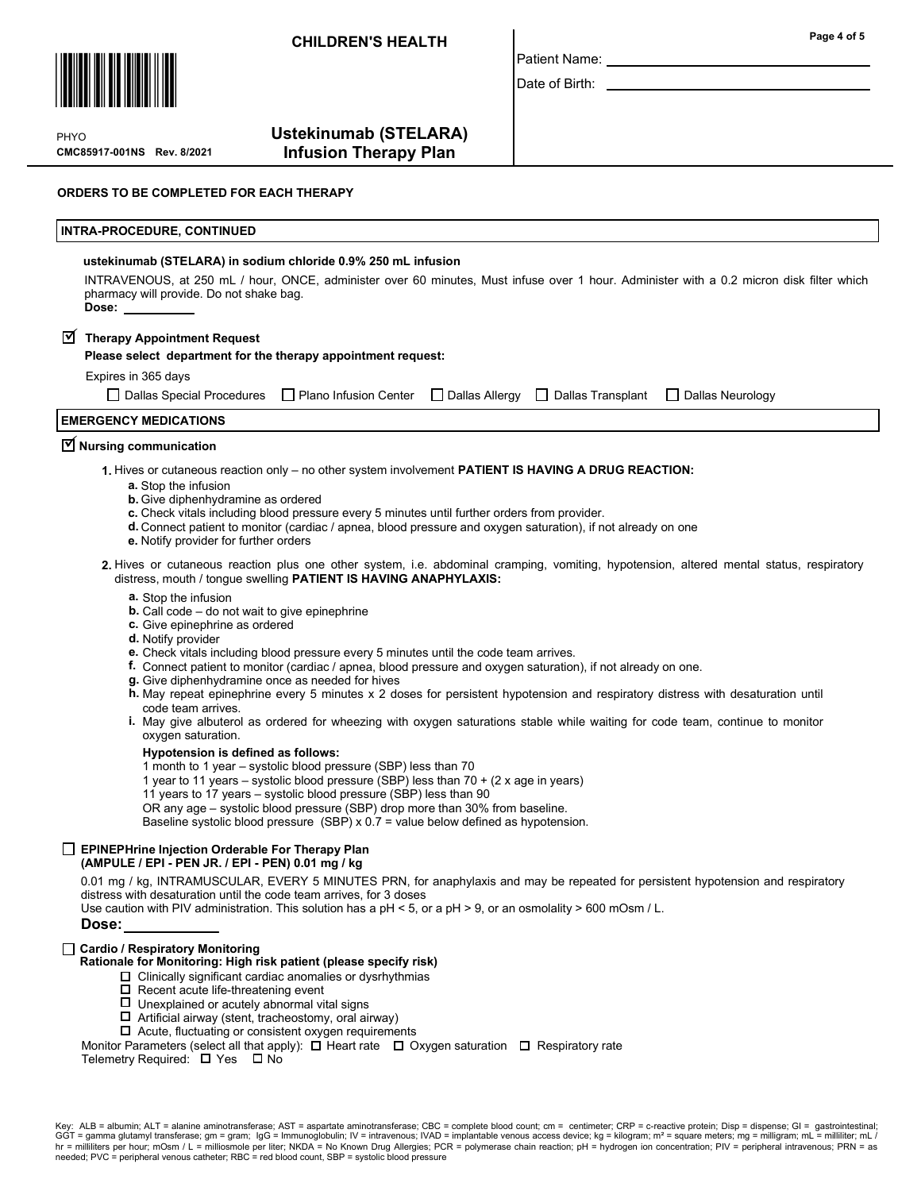## CHILDREN'S HEALTH



Patient Name: Date of Birth:

CMC85917-001NS Rev. 8/2021 PHYO

## Ustekinumab (STELARA) Infusion Therapy Plan

### ORDERS TO BE COMPLETED FOR EACH THERAPY

#### INTRA-PROCEDURE, CONTINUED

#### ustekinumab (STELARA) in sodium chloride 0.9% 250 mL infusion

INTRAVENOUS, at 250 mL / hour, ONCE, administer over 60 minutes, Must infuse over 1 hour. Administer with a 0.2 micron disk filter which pharmacy will provide. Do not shake bag. Dose:

## $\overline{\textbf{y}}$  Therapy Appointment Request

#### Please select department for the therapy appointment request:

## Expires in 365 days

□ Dallas Special Procedures □ Plano Infusion Center □ Dallas Allergy □ Dallas Transplant □ Dallas Neurology

#### EMERGENCY MEDICATIONS

## $\overline{\mathbb{Y}}$  Nursing communication

1. Hives or cutaneous reaction only – no other system involvement PATIENT IS HAVING A DRUG REACTION:

- a. Stop the infusion
- **b.** Give diphenhydramine as ordered
- c. Check vitals including blood pressure every 5 minutes until further orders from provider.
- d. Connect patient to monitor (cardiac / apnea, blood pressure and oxygen saturation), if not already on one
- e. Notify provider for further orders

2. Hives or cutaneous reaction plus one other system, i.e. abdominal cramping, vomiting, hypotension, altered mental status, respiratory distress, mouth / tongue swelling PATIENT IS HAVING ANAPHYLAXIS:

- a. Stop the infusion
- **. Call code**  $-$  **do not wait to give epinephrine**
- c. Give epinephrine as ordered
- d. Notify provider
- e. Check vitals including blood pressure every 5 minutes until the code team arrives.
- f. Connect patient to monitor (cardiac / apnea, blood pressure and oxygen saturation), if not already on one.
- g. Give diphenhydramine once as needed for hives
- h. May repeat epinephrine every 5 minutes x 2 doses for persistent hypotension and respiratory distress with desaturation until code team arrives.
- **i.** May give albuterol as ordered for wheezing with oxygen saturations stable while waiting for code team, continue to monitor oxygen saturation.

#### Hypotension is defined as follows:

- 1 month to 1 year systolic blood pressure (SBP) less than 70
- 1 year to 11 years systolic blood pressure (SBP) less than 70 + (2 x age in years)
- 11 years to 17 years systolic blood pressure (SBP) less than 90
- OR any age systolic blood pressure (SBP) drop more than 30% from baseline.

Baseline systolic blood pressure (SBP)  $x$  0.7 = value below defined as hypotension.

### $\Box$  EPINEPHrine Injection Orderable For Therapy Plan (AMPULE / EPI - PEN JR. / EPI - PEN) 0.01 mg / kg

0.01 mg / kg, INTRAMUSCULAR, EVERY 5 MINUTES PRN, for anaphylaxis and may be repeated for persistent hypotension and respiratory distress with desaturation until the code team arrives, for 3 doses

Use caution with PIV administration. This solution has a pH < 5, or a pH > 9, or an osmolality > 600 mOsm / L.

Dose:

### Cardio / Respiratory Monitoring

- Rationale for Monitoring: High risk patient (please specify risk)
	- $\Box$  Clinically significant cardiac anomalies or dysrhythmias
	- $\square$  Recent acute life-threatening event
	- $\Box$  Unexplained or acutely abnormal vital signs
	- $\Box$  Artificial airway (stent, tracheostomy, oral airway)
	- $\Box$  Acute, fluctuating or consistent oxygen requirements

Monitor Parameters (select all that apply):  $\Box$  Heart rate  $\Box$  Oxygen saturation  $\Box$  Respiratory rate

Telemetry Required:  $\Box$  Yes  $\Box$  No